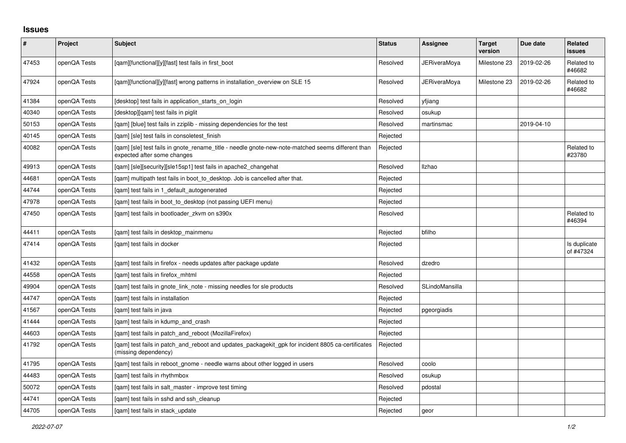## **Issues**

| $\pmb{\#}$ | Project      | <b>Subject</b>                                                                                                                   | <b>Status</b> | <b>Assignee</b>     | <b>Target</b><br>version | Due date   | Related<br><b>issues</b>  |
|------------|--------------|----------------------------------------------------------------------------------------------------------------------------------|---------------|---------------------|--------------------------|------------|---------------------------|
| 47453      | openQA Tests | [qam][functional][y][fast] test fails in first_boot                                                                              | Resolved      | <b>JERiveraMoya</b> | Milestone 23             | 2019-02-26 | Related to<br>#46682      |
| 47924      | openQA Tests | [gam][functional][y][fast] wrong patterns in installation overview on SLE 15                                                     | Resolved      | JERiveraMova        | Milestone 23             | 2019-02-26 | Related to<br>#46682      |
| 41384      | openQA Tests | [desktop] test fails in application starts on login                                                                              | Resolved      | yfjiang             |                          |            |                           |
| 40340      | openQA Tests | [desktop][gam] test fails in piglit                                                                                              | Resolved      | osukup              |                          |            |                           |
| 50153      | openQA Tests | [gam] [blue] test fails in zziplib - missing dependencies for the test                                                           | Resolved      | martinsmac          |                          | 2019-04-10 |                           |
| 40145      | openQA Tests | [gam] [sle] test fails in consoletest finish                                                                                     | Rejected      |                     |                          |            |                           |
| 40082      | openQA Tests | [qam] [sle] test fails in gnote_rename_title - needle gnote-new-note-matched seems different than<br>expected after some changes | Rejected      |                     |                          |            | Related to<br>#23780      |
| 49913      | openQA Tests | [qam] [sle][security][sle15sp1] test fails in apache2_changehat                                                                  | Resolved      | Ilzhao              |                          |            |                           |
| 44681      | openQA Tests | [gam] multipath test fails in boot to desktop. Job is cancelled after that.                                                      | Rejected      |                     |                          |            |                           |
| 44744      | openQA Tests | [gam] test fails in 1 default autogenerated                                                                                      | Rejected      |                     |                          |            |                           |
| 47978      | openQA Tests | [gam] test fails in boot to desktop (not passing UEFI menu)                                                                      | Rejected      |                     |                          |            |                           |
| 47450      | openQA Tests | [gam] test fails in bootloader zkym on s390x                                                                                     | Resolved      |                     |                          |            | Related to<br>#46394      |
| 44411      | openQA Tests | [gam] test fails in desktop mainmenu                                                                                             | Rejected      | bfilho              |                          |            |                           |
| 47414      | openQA Tests | [gam] test fails in docker                                                                                                       | Rejected      |                     |                          |            | Is duplicate<br>of #47324 |
| 41432      | openQA Tests | [gam] test fails in firefox - needs updates after package update                                                                 | Resolved      | dzedro              |                          |            |                           |
| 44558      | openQA Tests | [gam] test fails in firefox mhtml                                                                                                | Rejected      |                     |                          |            |                           |
| 49904      | openQA Tests | [gam] test fails in gnote link note - missing needles for sle products                                                           | Resolved      | SLindoMansilla      |                          |            |                           |
| 44747      | openQA Tests | [gam] test fails in installation                                                                                                 | Rejected      |                     |                          |            |                           |
| 41567      | openQA Tests | [qam] test fails in java                                                                                                         | Rejected      | pgeorgiadis         |                          |            |                           |
| 41444      | openQA Tests | [gam] test fails in kdump and crash                                                                                              | Rejected      |                     |                          |            |                           |
| 44603      | openQA Tests | [qam] test fails in patch_and_reboot (MozillaFirefox)                                                                            | Rejected      |                     |                          |            |                           |
| 41792      | openQA Tests | [qam] test fails in patch_and_reboot and updates_packagekit_gpk for incident 8805 ca-certificates<br>(missing dependency)        | Rejected      |                     |                          |            |                           |
| 41795      | openQA Tests | [gam] test fails in reboot gnome - needle warns about other logged in users                                                      | Resolved      | coolo               |                          |            |                           |
| 44483      | openQA Tests | [gam] test fails in rhythmbox                                                                                                    | Resolved      | osukup              |                          |            |                           |
| 50072      | openQA Tests | [gam] test fails in salt master - improve test timing                                                                            | Resolved      | pdostal             |                          |            |                           |
| 44741      | openQA Tests | [gam] test fails in sshd and ssh cleanup                                                                                         | Rejected      |                     |                          |            |                           |
| 44705      | openQA Tests | [gam] test fails in stack update                                                                                                 | Rejected      | geor                |                          |            |                           |